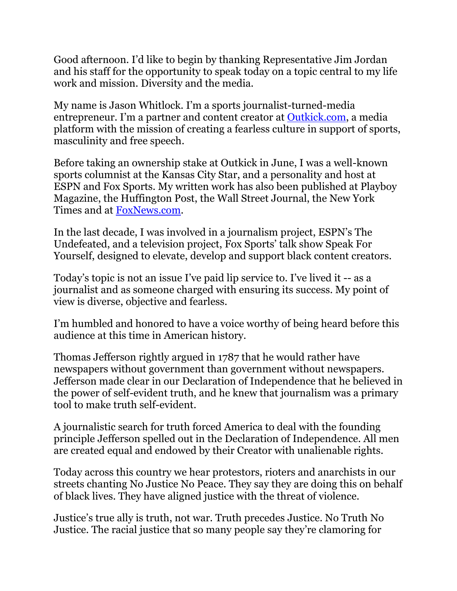Good afternoon. I'd like to begin by thanking Representative Jim Jordan and his staff for the opportunity to speak today on a topic central to my life work and mission. Diversity and the media.

My name is Jason Whitlock. I'm a sports journalist-turned-media entrepreneur. I'm a partner and content creator at [Outkick.com,](https://urldefense.proofpoint.com/v2/url?u=http-3A__Outkick.com&d=DwQFaQ&c=L93KkjKsAC98uTvC4KvQDdTDRzAeWDDRmG6S3YXllH0&r=2Q_tbYSWXQwjlal2XNyZ2Mq0RwPcITzTI2qkV023VWo&m=tzeQ4Q0l1A9L3kJoTPNQXj0BfNOIQpNb376CWeMYepU&s=04pkCAE_xOqcSFTdhCT7bjoqHmmoPcvKfLiVM2WP30U&e=) a media platform with the mission of creating a fearless culture in support of sports, masculinity and free speech.

Before taking an ownership stake at Outkick in June, I was a well-known sports columnist at the Kansas City Star, and a personality and host at ESPN and Fox Sports. My written work has also been published at Playboy Magazine, the Huffington Post, the Wall Street Journal, the New York Times and at [FoxNews.com.](https://urldefense.proofpoint.com/v2/url?u=http-3A__FoxNews.com&d=DwQFaQ&c=L93KkjKsAC98uTvC4KvQDdTDRzAeWDDRmG6S3YXllH0&r=2Q_tbYSWXQwjlal2XNyZ2Mq0RwPcITzTI2qkV023VWo&m=tzeQ4Q0l1A9L3kJoTPNQXj0BfNOIQpNb376CWeMYepU&s=-Kf_WazRwFDaUqYEvGd3dUei8j7ZJTT7iRnPIHY8fWQ&e=)

In the last decade, I was involved in a journalism project, ESPN's The Undefeated, and a television project, Fox Sports' talk show Speak For Yourself, designed to elevate, develop and support black content creators.

Today's topic is not an issue I've paid lip service to. I've lived it -- as a journalist and as someone charged with ensuring its success. My point of view is diverse, objective and fearless.

I'm humbled and honored to have a voice worthy of being heard before this audience at this time in American history.

Thomas Jefferson rightly argued in 1787 that he would rather have newspapers without government than government without newspapers. Jefferson made clear in our Declaration of Independence that he believed in the power of self-evident truth, and he knew that journalism was a primary tool to make truth self-evident.

A journalistic search for truth forced America to deal with the founding principle Jefferson spelled out in the Declaration of Independence. All men are created equal and endowed by their Creator with unalienable rights.

Today across this country we hear protestors, rioters and anarchists in our streets chanting No Justice No Peace. They say they are doing this on behalf of black lives. They have aligned justice with the threat of violence.

Justice's true ally is truth, not war. Truth precedes Justice. No Truth No Justice. The racial justice that so many people say they're clamoring for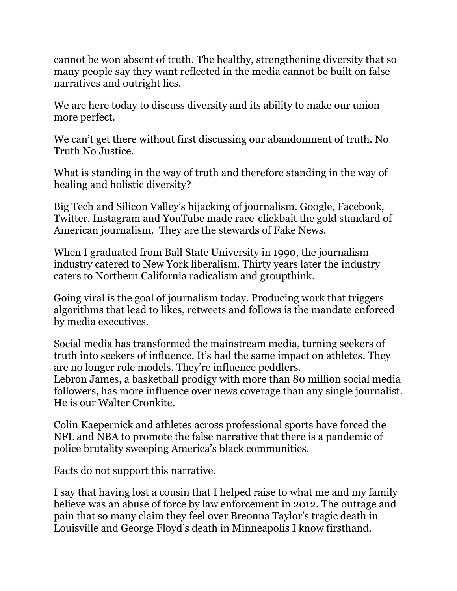cannot be won absent of truth. The healthy, strengthening diversity that so many people say they want reflected in the media cannot be built on false narratives and outright lies.

We are here today to discuss diversity and its ability to make our union more perfect.

We can't get there without first discussing our abandonment of truth. No Truth No Justice.

What is standing in the way of truth and therefore standing in the way of healing and holistic diversity?

Big Tech and Silicon Valley's hijacking of journalism. Google, Facebook, Twitter, Instagram and YouTube made race-clickbait the gold standard of American journalism. They are the stewards of Fake News.

When I graduated from Ball State University in 1990, the journalism industry catered to New York liberalism. Thirty years later the industry caters to Northern California radicalism and groupthink.

Going viral is the goal of journalism today. Producing work that triggers algorithms that lead to likes, retweets and follows is the mandate enforced by media executives.

Social media has transformed the mainstream media, turning seekers of truth into seekers of influence. It's had the same impact on athletes. They are no longer role models. They're influence peddlers. Lebron James, a basketball prodigy with more than 80 million social media followers, has more influence over news coverage than any single journalist. He is our Walter Cronkite.

Colin Kaepernick and athletes across professional sports have forced the NFL and NBA to promote the false narrative that there is a pandemic of police brutality sweeping America's black communities.

Facts do not support this narrative.

I say that having lost a cousin that I helped raise to what me and my family believe was an abuse of force by law enforcement in 2012. The outrage and pain that so many claim they feel over Breonna Taylor's tragic death in Louisville and George Floyd's death in Minneapolis I know firsthand.